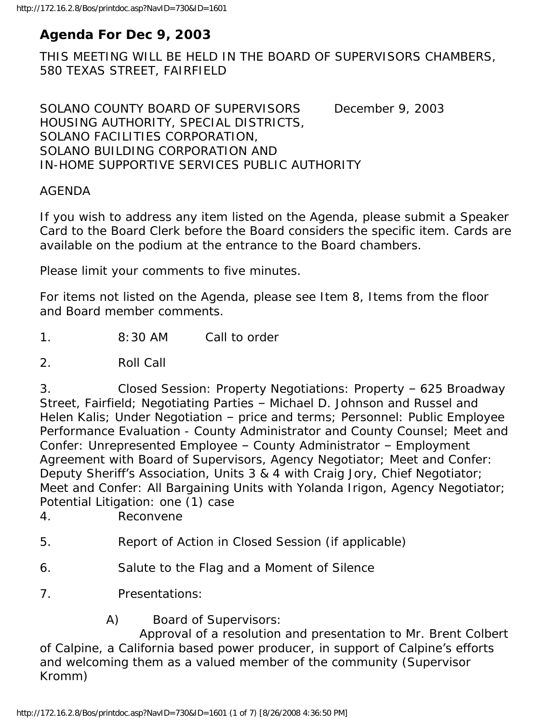# **Agenda For Dec 9, 2003**

THIS MEETING WILL BE HELD IN THE BOARD OF SUPERVISORS CHAMBERS, 580 TEXAS STREET, FAIRFIELD

SOLANO COUNTY BOARD OF SUPERVISORS December 9, 2003 HOUSING AUTHORITY, SPECIAL DISTRICTS, SOLANO FACILITIES CORPORATION, SOLANO BUILDING CORPORATION AND IN-HOME SUPPORTIVE SERVICES PUBLIC AUTHORITY

#### AGENDA

If you wish to address any item listed on the Agenda, please submit a Speaker Card to the Board Clerk before the Board considers the specific item. Cards are available on the podium at the entrance to the Board chambers.

Please limit your comments to five minutes.

For items not listed on the Agenda, please see Item 8, Items from the floor and Board member comments.

1. 8:30 AM Call to order

2. Roll Call

3. Closed Session: Property Negotiations: Property – 625 Broadway Street, Fairfield; Negotiating Parties – Michael D. Johnson and Russel and Helen Kalis; Under Negotiation – price and terms; Personnel: Public Employee Performance Evaluation - County Administrator and County Counsel; Meet and Confer: Unrepresented Employee – County Administrator – Employment Agreement with Board of Supervisors, Agency Negotiator; Meet and Confer: Deputy Sheriff's Association, Units 3 & 4 with Craig Jory, Chief Negotiator; Meet and Confer: All Bargaining Units with Yolanda Irigon, Agency Negotiator; Potential Litigation: one (1) case

4. Reconvene

- 5. Report of Action in Closed Session (if applicable)
- 6. Salute to the Flag and a Moment of Silence
- 7. Presentations:
	- A) Board of Supervisors:

 Approval of a resolution and presentation to Mr. Brent Colbert of Calpine, a California based power producer, in support of Calpine's efforts and welcoming them as a valued member of the community (Supervisor Kromm)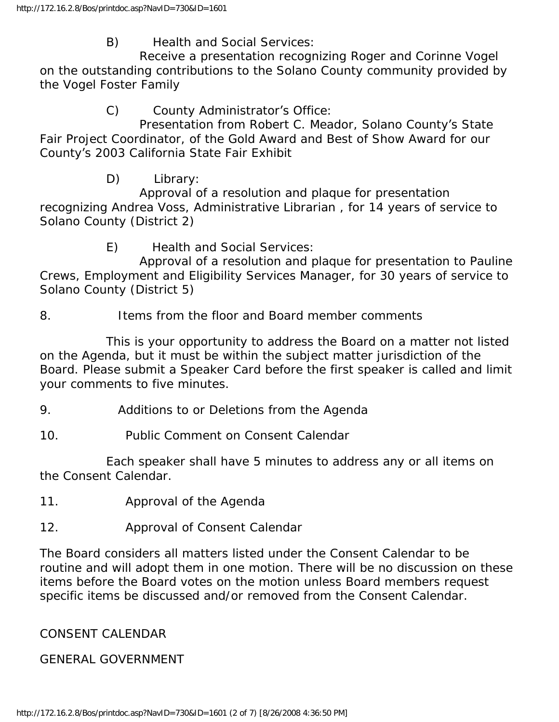B) Health and Social Services:

 Receive a presentation recognizing Roger and Corinne Vogel on the outstanding contributions to the Solano County community provided by the Vogel Foster Family

C) County Administrator's Office:

 Presentation from Robert C. Meador, Solano County's State Fair Project Coordinator, of the Gold Award and Best of Show Award for our County's 2003 California State Fair Exhibit

D) Library:

 Approval of a resolution and plaque for presentation recognizing Andrea Voss, Administrative Librarian , for 14 years of service to Solano County (District 2)

E) Health and Social Services:

 Approval of a resolution and plaque for presentation to Pauline Crews, Employment and Eligibility Services Manager, for 30 years of service to Solano County (District 5)

8. Items from the floor and Board member comments

 This is your opportunity to address the Board on a matter not listed on the Agenda, but it must be within the subject matter jurisdiction of the Board. Please submit a Speaker Card before the first speaker is called and limit your comments to five minutes.

- 9. Additions to or Deletions from the Agenda
- 10. Public Comment on Consent Calendar

 Each speaker shall have 5 minutes to address any or all items on the Consent Calendar.

- 11. Approval of the Agenda
- 12. Approval of Consent Calendar

The Board considers all matters listed under the Consent Calendar to be routine and will adopt them in one motion. There will be no discussion on these items before the Board votes on the motion unless Board members request specific items be discussed and/or removed from the Consent Calendar.

# CONSENT CALENDAR

### GENERAL GOVERNMENT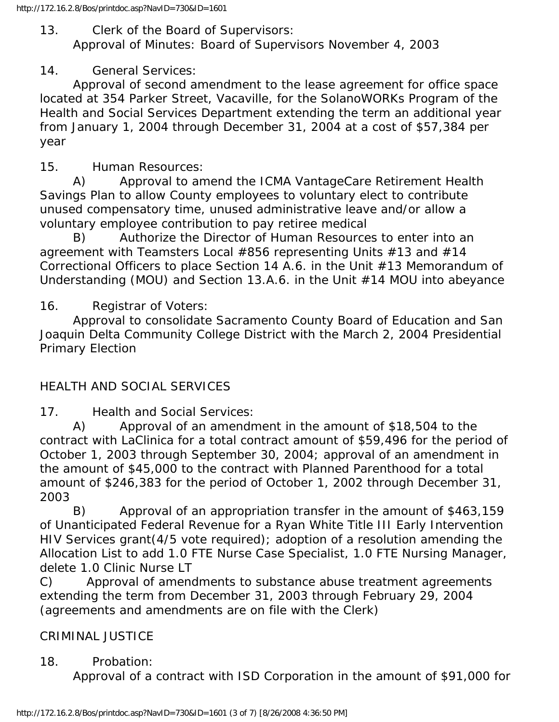### 13. Clerk of the Board of Supervisors:

Approval of Minutes: Board of Supervisors November 4, 2003

### 14. General Services:

 Approval of second amendment to the lease agreement for office space located at 354 Parker Street, Vacaville, for the SolanoWORKs Program of the Health and Social Services Department extending the term an additional year from January 1, 2004 through December 31, 2004 at a cost of \$57,384 per year

15. Human Resources:

 A) Approval to amend the ICMA VantageCare Retirement Health Savings Plan to allow County employees to voluntary elect to contribute unused compensatory time, unused administrative leave and/or allow a voluntary employee contribution to pay retiree medical

 B) Authorize the Director of Human Resources to enter into an agreement with Teamsters Local #856 representing Units #13 and #14 Correctional Officers to place Section 14 A.6. in the Unit #13 Memorandum of Understanding (MOU) and Section 13.A.6. in the Unit #14 MOU into abeyance

16. Registrar of Voters:

 Approval to consolidate Sacramento County Board of Education and San Joaquin Delta Community College District with the March 2, 2004 Presidential Primary Election

# HEALTH AND SOCIAL SERVICES

17. Health and Social Services:

 A) Approval of an amendment in the amount of \$18,504 to the contract with LaClinica for a total contract amount of \$59,496 for the period of October 1, 2003 through September 30, 2004; approval of an amendment in the amount of \$45,000 to the contract with Planned Parenthood for a total amount of \$246,383 for the period of October 1, 2002 through December 31, 2003

 B) Approval of an appropriation transfer in the amount of \$463,159 of Unanticipated Federal Revenue for a Ryan White Title III Early Intervention HIV Services grant(4/5 vote required); adoption of a resolution amending the Allocation List to add 1.0 FTE Nurse Case Specialist, 1.0 FTE Nursing Manager, delete 1.0 Clinic Nurse LT

C) Approval of amendments to substance abuse treatment agreements extending the term from December 31, 2003 through February 29, 2004 (agreements and amendments are on file with the Clerk)

# CRIMINAL JUSTICE

### 18. Probation:

Approval of a contract with ISD Corporation in the amount of \$91,000 for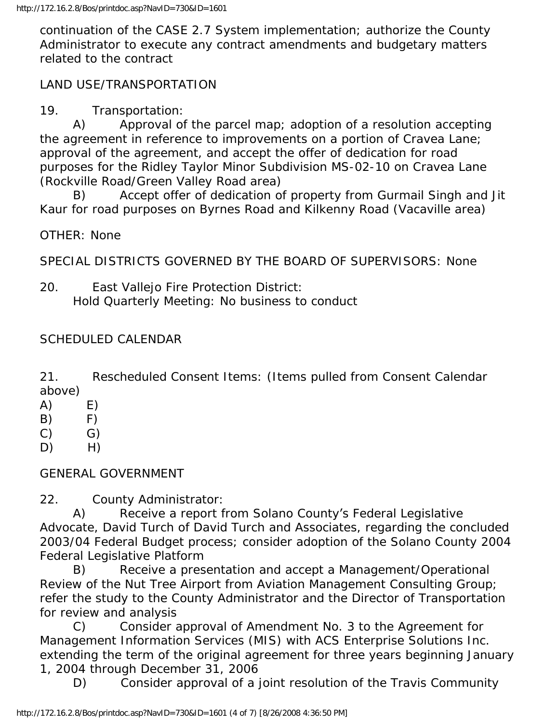continuation of the CASE 2.7 System implementation; authorize the County Administrator to execute any contract amendments and budgetary matters related to the contract

### LAND USE/TRANSPORTATION

19. Transportation:

 A) Approval of the parcel map; adoption of a resolution accepting the agreement in reference to improvements on a portion of Cravea Lane; approval of the agreement, and accept the offer of dedication for road purposes for the Ridley Taylor Minor Subdivision MS-02-10 on Cravea Lane (Rockville Road/Green Valley Road area)

 B) Accept offer of dedication of property from Gurmail Singh and Jit Kaur for road purposes on Byrnes Road and Kilkenny Road (Vacaville area)

OTHER: None

SPECIAL DISTRICTS GOVERNED BY THE BOARD OF SUPERVISORS: None

20. East Vallejo Fire Protection District: Hold Quarterly Meeting: No business to conduct

### SCHEDULED CALENDAR

21. Rescheduled Consent Items: (Items pulled from Consent Calendar above)

- $(A)$  E)
- $(B)$   $F)$
- $(C)$   $G)$
- D) H)

#### GENERAL GOVERNMENT

22. County Administrator:

 A) Receive a report from Solano County's Federal Legislative Advocate, David Turch of David Turch and Associates, regarding the concluded 2003/04 Federal Budget process; consider adoption of the Solano County 2004 Federal Legislative Platform

 B) Receive a presentation and accept a Management/Operational Review of the Nut Tree Airport from Aviation Management Consulting Group; refer the study to the County Administrator and the Director of Transportation for review and analysis

 C) Consider approval of Amendment No. 3 to the Agreement for Management Information Services (MIS) with ACS Enterprise Solutions Inc. extending the term of the original agreement for three years beginning January 1, 2004 through December 31, 2006

D) Consider approval of a joint resolution of the Travis Community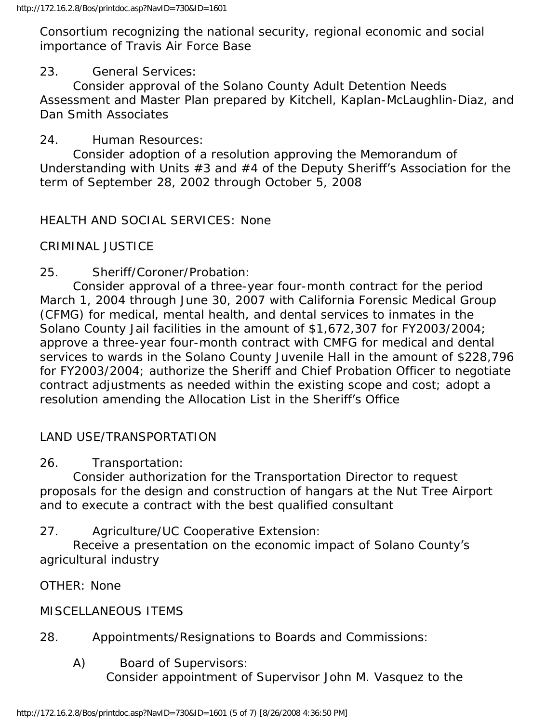Consortium recognizing the national security, regional economic and social importance of Travis Air Force Base

### 23. General Services:

 Consider approval of the Solano County Adult Detention Needs Assessment and Master Plan prepared by Kitchell, Kaplan-McLaughlin-Diaz, and Dan Smith Associates

### 24. Human Resources:

 Consider adoption of a resolution approving the Memorandum of Understanding with Units #3 and #4 of the Deputy Sheriff's Association for the term of September 28, 2002 through October 5, 2008

HEALTH AND SOCIAL SERVICES: None

# CRIMINAL JUSTICE

25. Sheriff/Coroner/Probation:

 Consider approval of a three-year four-month contract for the period March 1, 2004 through June 30, 2007 with California Forensic Medical Group (CFMG) for medical, mental health, and dental services to inmates in the Solano County Jail facilities in the amount of \$1,672,307 for FY2003/2004; approve a three-year four-month contract with CMFG for medical and dental services to wards in the Solano County Juvenile Hall in the amount of \$228,796 for FY2003/2004; authorize the Sheriff and Chief Probation Officer to negotiate contract adjustments as needed within the existing scope and cost; adopt a resolution amending the Allocation List in the Sheriff's Office

# LAND USE/TRANSPORTATION

26. Transportation:

 Consider authorization for the Transportation Director to request proposals for the design and construction of hangars at the Nut Tree Airport and to execute a contract with the best qualified consultant

27. Agriculture/UC Cooperative Extension:

 Receive a presentation on the economic impact of Solano County's agricultural industry

OTHER: None

### MISCELLANEOUS ITEMS

# 28. Appointments/Resignations to Boards and Commissions:

 A) Board of Supervisors: Consider appointment of Supervisor John M. Vasquez to the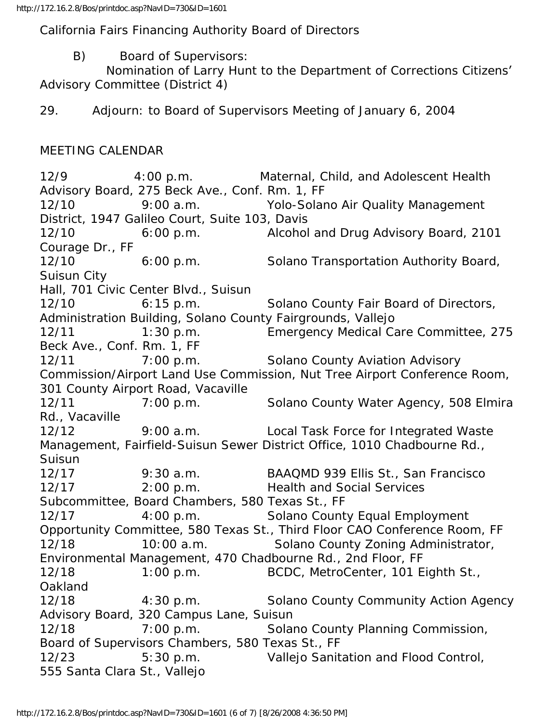California Fairs Financing Authority Board of Directors

B) Board of Supervisors:

 Nomination of Larry Hunt to the Department of Corrections Citizens' Advisory Committee (District 4)

29. Adjourn: to Board of Supervisors Meeting of January 6, 2004

#### MEETING CALENDAR

12/9 4:00 p.m. Maternal, Child, and Adolescent Health Advisory Board, 275 Beck Ave., Conf. Rm. 1, FF 12/10 9:00 a.m. Yolo-Solano Air Quality Management District, 1947 Galileo Court, Suite 103, Davis 12/10 6:00 p.m. Alcohol and Drug Advisory Board, 2101 Courage Dr., FF 12/10 6:00 p.m. Solano Transportation Authority Board, Suisun City Hall, 701 Civic Center Blvd., Suisun 12/10 6:15 p.m. Solano County Fair Board of Directors, Administration Building, Solano County Fairgrounds, Vallejo 12/11 1:30 p.m. Emergency Medical Care Committee, 275 Beck Ave., Conf. Rm. 1, FF 12/11 7:00 p.m. Solano County Aviation Advisory Commission/Airport Land Use Commission, Nut Tree Airport Conference Room, 301 County Airport Road, Vacaville 12/11 7:00 p.m. Solano County Water Agency, 508 Elmira Rd., Vacaville 12/12 9:00 a.m. Local Task Force for Integrated Waste Management, Fairfield-Suisun Sewer District Office, 1010 Chadbourne Rd., Suisun 12/17 9:30 a.m. BAAQMD 939 Ellis St., San Francisco 12/17 2:00 p.m. Health and Social Services Subcommittee, Board Chambers, 580 Texas St., FF 12/17 4:00 p.m. Solano County Equal Employment Opportunity Committee, 580 Texas St., Third Floor CAO Conference Room, FF 12/18 10:00 a.m. Solano County Zoning Administrator, Environmental Management, 470 Chadbourne Rd., 2nd Floor, FF 12/18 1:00 p.m. BCDC, MetroCenter, 101 Eighth St., Oakland 12/18 4:30 p.m. Solano County Community Action Agency Advisory Board, 320 Campus Lane, Suisun 12/18 7:00 p.m. Solano County Planning Commission, Board of Supervisors Chambers, 580 Texas St., FF 12/23 5:30 p.m. Vallejo Sanitation and Flood Control, 555 Santa Clara St., Vallejo